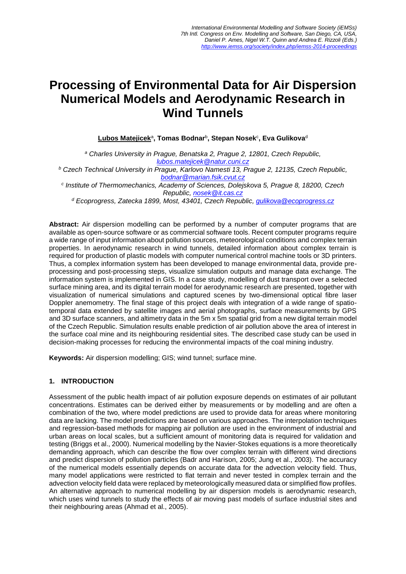# **Processing of Environmental Data for Air Dispersion Numerical Models and Aerodynamic Research in Wind Tunnels**

 $\mathsf{Lubos\ Matelicek^a, Tomas\ Bodnar^b, \ Stepan\ Nosek^c, Eva\ Gulikova^d}$ 

*<sup>a</sup> Charles University in Prague, Benatska 2, Prague 2, 12801, Czech Republic, [lubos.matejicek@natur.cuni.cz](mailto:lubos.matejicek@natur.cuni.cz)*

*<sup>b</sup> Czech Technical University in Prague, Karlovo Namesti 13, Prague 2, 12135, Czech Republic, [bodnar@marian.fsik.cvut.cz](mailto:bodnar@marian.fsik.cvut.cz)*

*c Institute of Thermomechanics, Academy of Sciences, Dolejskova 5, Prague 8, 18200, Czech Republic, [nosek@it.cas.cz](mailto:nosek@it.cas.cz)*

*<sup>d</sup> Ecoprogress, Zatecka 1899, Most, 43401, Czech Republic, [gulikova@ecoprogress.cz](mailto:gulikova@ecoprogress.cz)*

**Abstract:** Air dispersion modelling can be performed by a number of computer programs that are available as open-source software or as commercial software tools. Recent computer programs require a wide range of input information about pollution sources, meteorological conditions and complex terrain properties. In aerodynamic research in wind tunnels, detailed information about complex terrain is required for production of plastic models with computer numerical control machine tools or 3D printers. Thus, a complex information system has been developed to manage environmental data, provide preprocessing and post-processing steps, visualize simulation outputs and manage data exchange. The information system is implemented in GIS. In a case study, modelling of dust transport over a selected surface mining area, and its digital terrain model for aerodynamic research are presented, together with visualization of numerical simulations and captured scenes by two-dimensional optical fibre laser Doppler anemometry. The final stage of this project deals with integration of a wide range of spatiotemporal data extended by satellite images and aerial photographs, surface measurements by GPS and 3D surface scanners, and altimetry data in the 5m x 5m spatial grid from a new digital terrain model of the Czech Republic. Simulation results enable prediction of air pollution above the area of interest in the surface coal mine and its neighbouring residential sites. The described case study can be used in decision-making processes for reducing the environmental impacts of the coal mining industry.

**Keywords:** Air dispersion modelling; GIS; wind tunnel; surface mine.

## **1. INTRODUCTION**

Assessment of the public health impact of air pollution exposure depends on estimates of air pollutant concentrations. Estimates can be derived either by measurements or by modelling and are often a combination of the two, where model predictions are used to provide data for areas where monitoring data are lacking. The model predictions are based on various approaches. The interpolation techniques and regression-based methods for mapping air pollution are used in the environment of industrial and urban areas on local scales, but a sufficient amount of monitoring data is required for validation and testing (Briggs et al., 2000). Numerical modelling by the Navier-Stokes equations is a more theoretically demanding approach, which can describe the flow over complex terrain with different wind directions and predict dispersion of pollution particles (Badr and Harison, 2005; Jung et al., 2003). The accuracy of the numerical models essentially depends on accurate data for the advection velocity field. Thus, many model applications were restricted to flat terrain and never tested in complex terrain and the advection velocity field data were replaced by meteorologically measured data or simplified flow profiles. An alternative approach to numerical modelling by air dispersion models is aerodynamic research, which uses wind tunnels to study the effects of air moving past models of surface industrial sites and their neighbouring areas (Ahmad et al., 2005).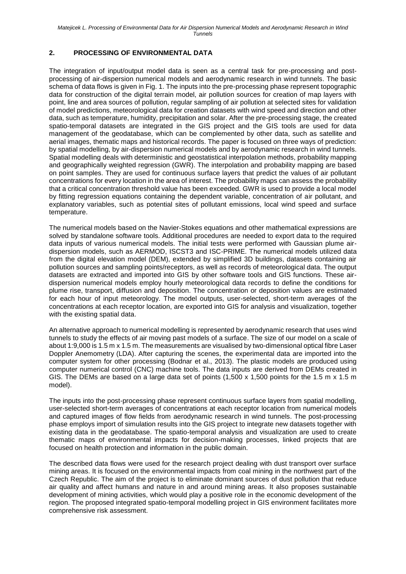# **2. PROCESSING OF ENVIRONMENTAL DATA**

The integration of input/output model data is seen as a central task for pre-processing and postprocessing of air-dispersion numerical models and aerodynamic research in wind tunnels. The basic schema of data flows is given in Fig. 1. The inputs into the pre-processing phase represent topographic data for construction of the digital terrain model, air pollution sources for creation of map layers with point, line and area sources of pollution, regular sampling of air pollution at selected sites for validation of model predictions, meteorological data for creation datasets with wind speed and direction and other data, such as temperature, humidity, precipitation and solar. After the pre-processing stage, the created spatio-temporal datasets are integrated in the GIS project and the GIS tools are used for data management of the geodatabase, which can be complemented by other data, such as satellite and aerial images, thematic maps and historical records. The paper is focused on three ways of prediction: by spatial modelling, by air-dispersion numerical models and by aerodynamic research in wind tunnels. Spatial modelling deals with deterministic and geostatistical interpolation methods, probability mapping and geographically weighted regression (GWR). The interpolation and probability mapping are based on point samples. They are used for continuous surface layers that predict the values of air pollutant concentrations for every location in the area of interest. The probability maps can assess the probability that a critical concentration threshold value has been exceeded. GWR is used to provide a local model by fitting regression equations containing the dependent variable, concentration of air pollutant, and explanatory variables, such as potential sites of pollutant emissions, local wind speed and surface temperature.

The numerical models based on the Navier-Stokes equations and other mathematical expressions are solved by standalone software tools. Additional procedures are needed to export data to the required data inputs of various numerical models. The initial tests were performed with Gaussian plume airdispersion models, such as AERMOD, ISCST3 and ISC-PRIME. The numerical models utilized data from the digital elevation model (DEM), extended by simplified 3D buildings, datasets containing air pollution sources and sampling points/receptors, as well as records of meteorological data. The output datasets are extracted and imported into GIS by other software tools and GIS functions. These airdispersion numerical models employ hourly meteorological data records to define the conditions for plume rise, transport, diffusion and deposition. The concentration or deposition values are estimated for each hour of input meteorology. The model outputs, user-selected, short-term averages of the concentrations at each receptor location, are exported into GIS for analysis and visualization, together with the existing spatial data.

An alternative approach to numerical modelling is represented by aerodynamic research that uses wind tunnels to study the effects of air moving past models of a surface. The size of our model on a scale of about 1:9,000 is 1.5 m x 1.5 m. The measurements are visualised by two-dimensional optical fibre Laser Doppler Anemometry (LDA). After capturing the scenes, the experimental data are imported into the computer system for other processing (Bodnar et al., 2013). The plastic models are produced using computer numerical control (CNC) machine tools. The data inputs are derived from DEMs created in GIS. The DEMs are based on a large data set of points  $(1,500 \times 1,500 \text{ points}$  for the 1.5 m  $\times$  1.5 m model).

The inputs into the post-processing phase represent continuous surface layers from spatial modelling, user-selected short-term averages of concentrations at each receptor location from numerical models and captured images of flow fields from aerodynamic research in wind tunnels. The post-processing phase employs import of simulation results into the GIS project to integrate new datasets together with existing data in the geodatabase. The spatio-temporal analysis and visualization are used to create thematic maps of environmental impacts for decision-making processes, linked projects that are focused on health protection and information in the public domain.

The described data flows were used for the research project dealing with dust transport over surface mining areas. It is focused on the environmental impacts from coal mining in the northwest part of the Czech Republic. The aim of the project is to eliminate dominant sources of dust pollution that reduce air quality and affect humans and nature in and around mining areas. It also proposes sustainable development of mining activities, which would play a positive role in the economic development of the region. The proposed integrated spatio-temporal modelling project in GIS environment facilitates more comprehensive risk assessment.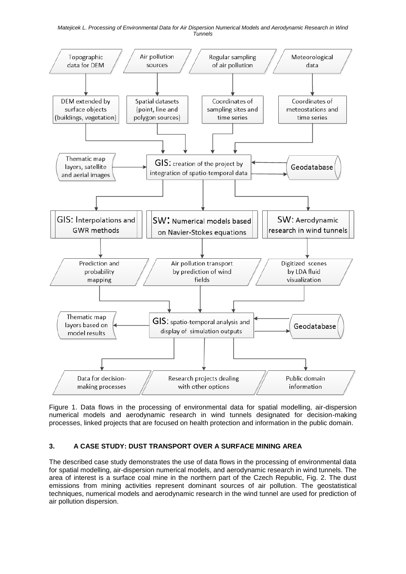#### *Matejicek L. Processing of Environmental Data for Air Dispersion Numerical Models and Aerodynamic Research in Wind Tunnels*



Figure 1. Data flows in the processing of environmental data for spatial modelling, air-dispersion numerical models and aerodynamic research in wind tunnels designated for decision-making processes, linked projects that are focused on health protection and information in the public domain.

# **3. A CASE STUDY: DUST TRANSPORT OVER A SURFACE MINING AREA**

The described case study demonstrates the use of data flows in the processing of environmental data for spatial modelling, air-dispersion numerical models, and aerodynamic research in wind tunnels. The area of interest is a surface coal mine in the northern part of the Czech Republic, Fig. 2. The dust emissions from mining activities represent dominant sources of air pollution. The geostatistical techniques, numerical models and aerodynamic research in the wind tunnel are used for prediction of air pollution dispersion.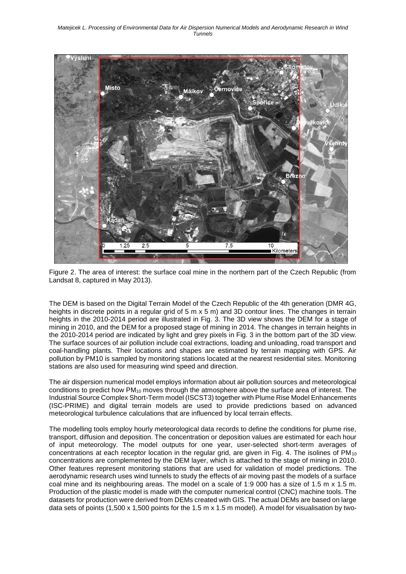

Figure 2. The area of interest: the surface coal mine in the northern part of the Czech Republic (from Landsat 8, captured in May 2013).

The DEM is based on the Digital Terrain Model of the Czech Republic of the 4th generation (DMR 4G, heights in discrete points in a regular grid of 5 m x 5 m) and 3D contour lines. The changes in terrain heights in the 2010-2014 period are illustrated in Fig. 3. The 3D view shows the DEM for a stage of mining in 2010, and the DEM for a proposed stage of mining in 2014. The changes in terrain heights in the 2010-2014 period are indicated by light and grey pixels in Fig. 3 in the bottom part of the 3D view. The surface sources of air pollution include coal extractions, loading and unloading, road transport and coal-handling plants. Their locations and shapes are estimated by terrain mapping with GPS. Air pollution by PM10 is sampled by monitoring stations located at the nearest residential sites. Monitoring stations are also used for measuring wind speed and direction.

The air dispersion numerical model employs information about air pollution sources and meteorological conditions to predict how PM<sup>10</sup> moves through the atmosphere above the surface area of interest. The Industrial Source Complex Short-Term model (ISCST3) together with Plume Rise Model Enhancements (ISC-PRIME) and digital terrain models are used to provide predictions based on advanced meteorological turbulence calculations that are influenced by local terrain effects.

The modelling tools employ hourly meteorological data records to define the conditions for plume rise, transport, diffusion and deposition. The concentration or deposition values are estimated for each hour of input meteorology. The model outputs for one year, user-selected short-term averages of concentrations at each receptor location in the regular grid, are given in Fig. 4. The isolines of PM<sub>10</sub> concentrations are complemented by the DEM layer, which is attached to the stage of mining in 2010. Other features represent monitoring stations that are used for validation of model predictions. The aerodynamic research uses wind tunnels to study the effects of air moving past the models of a surface coal mine and its neighbouring areas. The model on a scale of 1:9 000 has a size of 1.5 m x 1.5 m. Production of the plastic model is made with the computer numerical control (CNC) machine tools. The datasets for production were derived from DEMs created with GIS. The actual DEMs are based on large data sets of points  $(1,500 \times 1,500$  points for the 1.5 m x 1.5 m model). A model for visualisation by two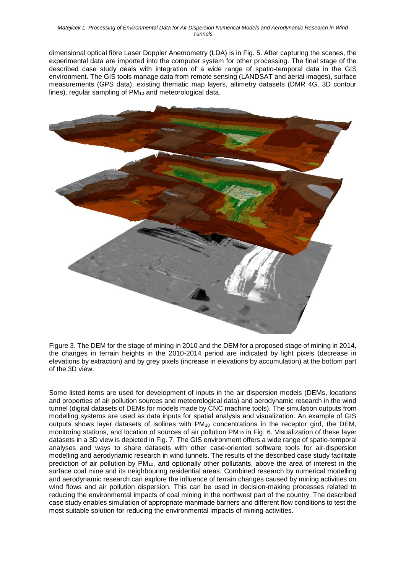dimensional optical fibre Laser Doppler Anemometry (LDA) is in Fig. 5. After capturing the scenes, the experimental data are imported into the computer system for other processing. The final stage of the described case study deals with integration of a wide range of spatio-temporal data in the GIS environment. The GIS tools manage data from remote sensing (LANDSAT and aerial images), surface measurements (GPS data), existing thematic map layers, altimetry datasets (DMR 4G, 3D contour lines), regular sampling of PM<sup>10</sup> and meteorological data.



Figure 3. The DEM for the stage of mining in 2010 and the DEM for a proposed stage of mining in 2014, the changes in terrain heights in the 2010-2014 period are indicated by light pixels (decrease in elevations by extraction) and by grey pixels (increase in elevations by accumulation) at the bottom part of the 3D view.

Some listed items are used for development of inputs in the air dispersion models (DEMs, locations and properties of air pollution sources and meteorological data) and aerodynamic research in the wind tunnel (digital datasets of DEMs for models made by CNC machine tools). The simulation outputs from modelling systems are used as data inputs for spatial analysis and visualization. An example of GIS outputs shows layer datasets of isolines with PM<sup>10</sup> concentrations in the receptor gird, the DEM, monitoring stations, and location of sources of air pollution PM<sub>10</sub> in Fig. 6. Visualization of these layer datasets in a 3D view is depicted in Fig. 7. The GIS environment offers a wide range of spatio-temporal analyses and ways to share datasets with other case-oriented software tools for air-dispersion modelling and aerodynamic research in wind tunnels. The results of the described case study facilitate prediction of air pollution by PM10, and optionally other pollutants, above the area of interest in the surface coal mine and its neighbouring residential areas. Combined research by numerical modelling and aerodynamic research can explore the influence of terrain changes caused by mining activities on wind flows and air pollution dispersion. This can be used in decision-making processes related to reducing the environmental impacts of coal mining in the northwest part of the country. The described case study enables simulation of appropriate manmade barriers and different flow conditions to test the most suitable solution for reducing the environmental impacts of mining activities.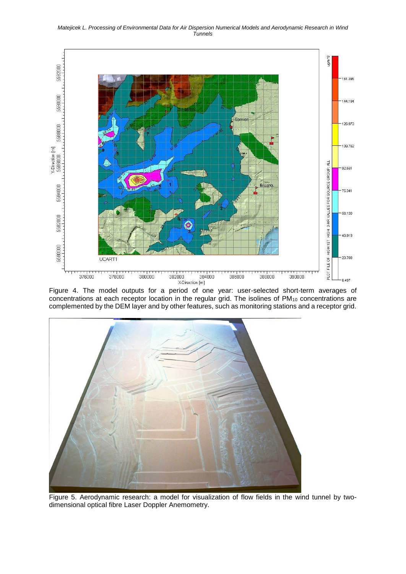*Matejicek L. Processing of Environmental Data for Air Dispersion Numerical Models and Aerodynamic Research in Wind Tunnels*



Figure 4. The model outputs for a period of one year: user-selected short-term averages of concentrations at each receptor location in the regular grid. The isolines of PM<sub>10</sub> concentrations are complemented by the DEM layer and by other features, such as monitoring stations and a receptor grid.



Figure 5. Aerodynamic research: a model for visualization of flow fields in the wind tunnel by twodimensional optical fibre Laser Doppler Anemometry.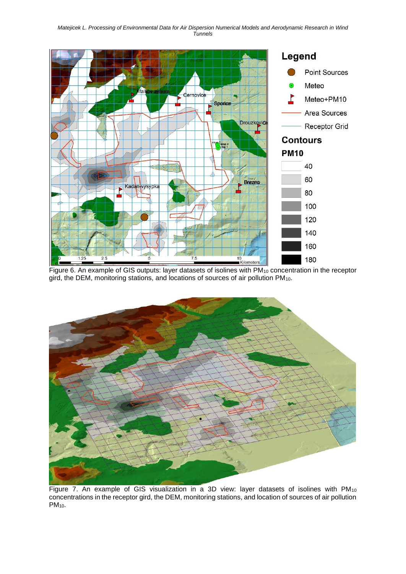

gird, the DEM, monitoring stations, and locations of sources of air pollution PM10.



Figure 7. An example of GIS visualization in a 3D view: layer datasets of isolines with PM<sub>10</sub> concentrations in the receptor gird, the DEM, monitoring stations, and location of sources of air pollution PM10.